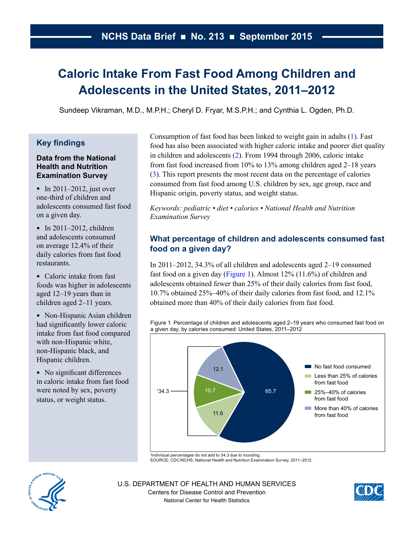# **Caloric Intake From Fast Food Among Children and Adolescents in the United States, 2011–2012**

Sundeep Vikraman, M.D., M.P.H.; Cheryl D. Fryar, M.S.P.H.; and Cynthia L. Ogden, Ph.D.

# **Key findings**

## **Data from the National Health and Nutrition Examination Survey**

• In 2011–2012, just over one-third of children and adolescents consumed fast food on a given day.

• In  $2011-2012$ , children and adolescents consumed on average 12.4% of their daily calories from fast food restaurants.

• Caloric intake from fast foods was higher in adolescents aged 12–19 years than in children aged 2–11 years.

• Non-Hispanic Asian children had significantly lower caloric intake from fast food compared with non-Hispanic white, non-Hispanic black, and Hispanic children.

• No significant differences in caloric intake from fast food were noted by sex, poverty status, or weight status.

Consumption of fast food has been linked to weight gain in adults [\(1\)](#page-6-0). Fast food has also been associated with higher caloric intake and poorer diet quality in children and adolescents [\(2\)](#page-6-0). From 1994 through 2006, caloric intake from fast food increased from 10% to 13% among children aged 2–18 years [\(3\)](#page-6-0). This report presents the most recent data on the percentage of calories consumed from fast food among U.S. children by sex, age group, race and Hispanic origin, poverty status, and weight status.

*Keywords: pediatric • diet • calories • National Health and Nutrition Examination Survey*

# **What percentage of children and adolescents consumed fast food on a given day?**

In 2011–2012, 34.3% of all children and adolescents aged 2–19 consumed fast food on a given day (Figure 1). Almost 12% (11.6%) of children and adolescents obtained fewer than 25% of their daily calories from fast food, 10.7% obtained 25%–40% of their daily calories from fast food, and 12.1% obtained more than 40% of their daily calories from fast food.

Figure 1. Percentage of children and adolescents aged 2–19 years who consumed fast food on a given day, by calories consumed: United States, 2011–2012



<sup>1</sup> Individual percentages do not add to 34.3 due to rounding. SOURCE: CDC/NCHS, National Health and Nutrition Examination Survey, 2011–2012.



U.S. DEPARTMENT OF HEALTH AND HUMAN SERVICES Centers for Disease Control and Prevention National Center for Health Statistics

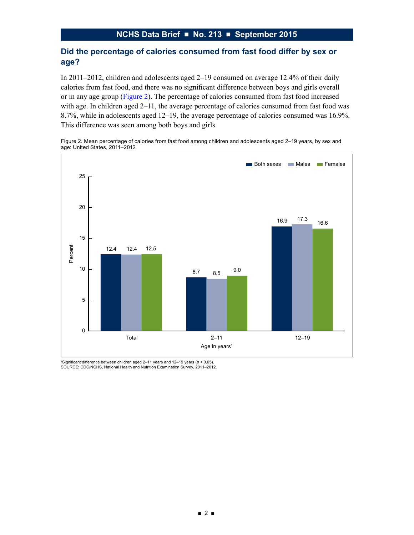# **Did the percentage of calories consumed from fast food differ by sex or age?**

In 2011–2012, children and adolescents aged 2–19 consumed on average 12.4% of their daily calories from fast food, and there was no significant difference between boys and girls overall or in any age group (Figure 2). The percentage of calories consumed from fast food increased with age. In children aged 2–11, the average percentage of calories consumed from fast food was 8.7%, while in adolescents aged 12–19, the average percentage of calories consumed was 16.9%. This difference was seen among both boys and girls.

Figure 2. Mean percentage of calories from fast food among children and adolescents aged 2–19 years, by sex and age: United States, 2011–2012



1 Significant difference between children aged 2–11 years and 12–19 years (*p* < 0.05). SOURCE: CDC/NCHS, National Health and Nutrition Examination Survey, 2011–2012.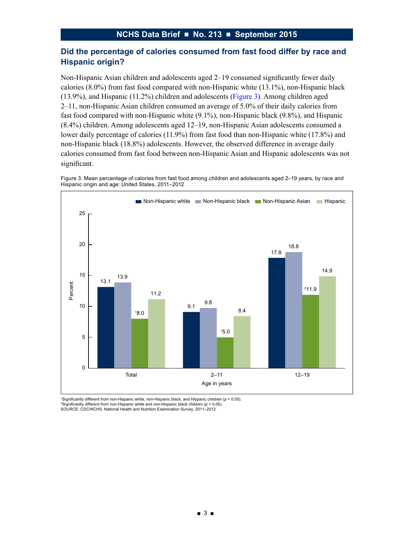## **Did the percentage of calories consumed from fast food differ by race and Hispanic origin?**

Non-Hispanic Asian children and adolescents aged 2–19 consumed significantly fewer daily calories (8.0%) from fast food compared with non-Hispanic white (13.1%), non-Hispanic black (13.9%), and Hispanic (11.2%) children and adolescents (Figure 3). Among children aged 2–11, non-Hispanic Asian children consumed an average of 5.0% of their daily calories from fast food compared with non-Hispanic white (9.1%), non-Hispanic black (9.8%), and Hispanic (8.4%) children. Among adolescents aged 12–19, non-Hispanic Asian adolescents consumed a lower daily percentage of calories (11.9%) from fast food than non-Hispanic white (17.8%) and non-Hispanic black (18.8%) adolescents. However, the observed difference in average daily calories consumed from fast food between non-Hispanic Asian and Hispanic adolescents was not significant.





1 Significantly different from non-Hispanic white, non-Hispanic black, and Hispanic children (*p* < 0.05). 2 Significantly different from non-Hispanic white and non-Hispanic black children (*p* < 0.05). SOURCE: CDC/NCHS, National Health and Nutrition Examination Survey, 2011–2012.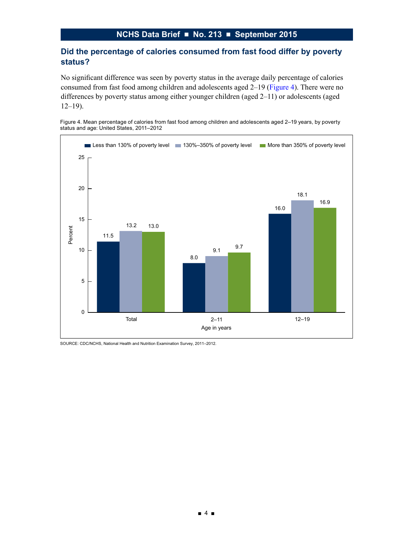## **Did the percentage of calories consumed from fast food differ by poverty status?**

No significant difference was seen by poverty status in the average daily percentage of calories consumed from fast food among children and adolescents aged 2–19 (Figure 4). There were no differences by poverty status among either younger children (aged 2–11) or adolescents (aged  $12-19$ ).





SOURCE: CDC/NCHS, National Health and Nutrition Examination Survey, 2011–2012.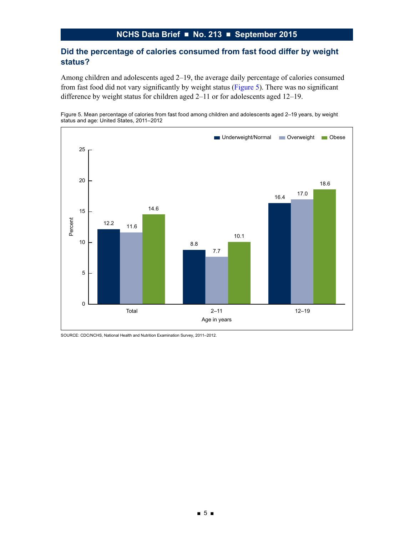# **NCHS Data Brief ■ No. 213 ■ September 2015**

## **Did the percentage of calories consumed from fast food differ by weight status?**

Among children and adolescents aged 2–19, the average daily percentage of calories consumed from fast food did not vary significantly by weight status (Figure 5). There was no significant difference by weight status for children aged 2–11 or for adolescents aged 12–19.





SOURCE: CDC/NCHS, National Health and Nutrition Examination Survey, 2011–2012.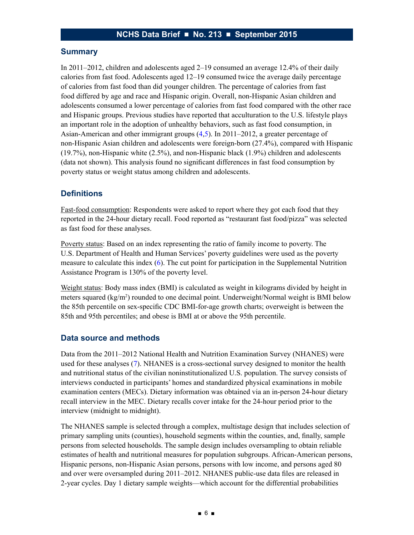#### **Summary**

In 2011–2012, children and adolescents aged 2–19 consumed an average 12.4% of their daily calories from fast food. Adolescents aged 12–19 consumed twice the average daily percentage of calories from fast food than did younger children. The percentage of calories from fast food differed by age and race and Hispanic origin. Overall, non-Hispanic Asian children and adolescents consumed a lower percentage of calories from fast food compared with the other race and Hispanic groups. Previous studies have reported that acculturation to the U.S. lifestyle plays an important role in the adoption of unhealthy behaviors, such as fast food consumption, in Asian-American and other immigrant groups [\(4,5\)](#page-6-0). In 2011–2012, a greater percentage of non-Hispanic Asian children and adolescents were foreign-born (27.4%), compared with Hispanic (19.7%), non-Hispanic white (2.5%), and non-Hispanic black (1.9%) children and adolescents (data not shown). This analysis found no significant differences in fast food consumption by poverty status or weight status among children and adolescents.

## **Definitions**

Fast-food consumption: Respondents were asked to report where they got each food that they reported in the 24-hour dietary recall. Food reported as "restaurant fast food/pizza" was selected as fast food for these analyses.

Poverty status: Based on an index representing the ratio of family income to poverty. The U.S. Department of Health and Human Services' poverty guidelines were used as the poverty measure to calculate this index [\(6\)](#page-6-0). The cut point for participation in the Supplemental Nutrition Assistance Program is 130% of the poverty level.

Weight status: Body mass index (BMI) is calculated as weight in kilograms divided by height in meters squared (kg/m<sup>2</sup>) rounded to one decimal point. Underweight/Normal weight is BMI below the 85th percentile on sex-specific CDC BMI-for-age growth charts; overweight is between the 85th and 95th percentiles; and obese is BMI at or above the 95th percentile.

#### **Data source and methods**

Data from the 2011–2012 National Health and Nutrition Examination Survey (NHANES) were used for these analyses [\(7\)](#page-6-0). NHANES is a cross-sectional survey designed to monitor the health and nutritional status of the civilian noninstitutionalized U.S. population. The survey consists of interviews conducted in participants' homes and standardized physical examinations in mobile examination centers (MECs). Dietary information was obtained via an in-person 24-hour dietary recall interview in the MEC. Dietary recalls cover intake for the 24-hour period prior to the interview (midnight to midnight).

The NHANES sample is selected through a complex, multistage design that includes selection of primary sampling units (counties), household segments within the counties, and, finally, sample persons from selected households. The sample design includes oversampling to obtain reliable estimates of health and nutritional measures for population subgroups. African-American persons, Hispanic persons, non-Hispanic Asian persons, persons with low income, and persons aged 80 and over were oversampled during 2011–2012. NHANES public-use data files are released in 2-year cycles. Day 1 dietary sample weights—which account for the differential probabilities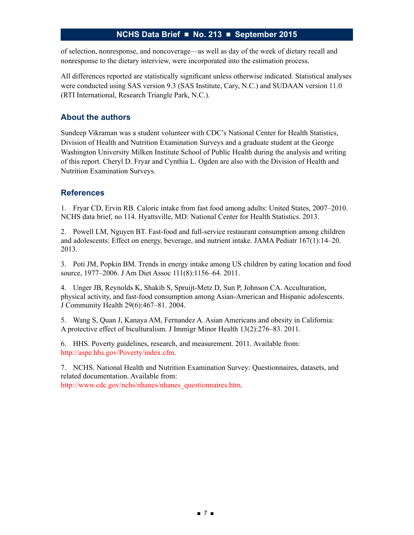## **NCHS Data Brief ■ No. 213 ■ September 2015**

<span id="page-6-0"></span>of selection, nonresponse, and noncoverage—as well as day of the week of dietary recall and nonresponse to the dietary interview, were incorporated into the estimation process.

All differences reported are statistically significant unless otherwise indicated. Statistical analyses were conducted using SAS version 9.3 (SAS Institute, Cary, N.C.) and SUDAAN version 11.0 (RTI International, Research Triangle Park, N.C.).

## **About the authors**

Sundeep Vikraman was a student volunteer with CDC's National Center for Health Statistics, Division of Health and Nutrition Examination Surveys and a graduate student at the George Washington University Milken Institute School of Public Health during the analysis and writing of this report. Cheryl D. Fryar and Cynthia L. Ogden are also with the Division of Health and Nutrition Examination Surveys.

## **References**

1. Fryar CD, Ervin RB. Caloric intake from fast food among adults: United States, 2007–2010. NCHS data brief, no 114. Hyattsville, MD: National Center for Health Statistics. 2013.

2. Powell LM, Nguyen BT. Fast-food and full-service restaurant consumption among children and adolescents: Effect on energy, beverage, and nutrient intake. JAMA Pediatr 167(1):14–20. 2013.

3. Poti JM, Popkin BM. Trends in energy intake among US children by eating location and food source, 1977–2006. J Am Diet Assoc 111(8):1156–64. 2011.

4. Unger JB, Reynolds K, Shakib S, Spruijt-Metz D, Sun P, Johnson CA. Acculturation, physical activity, and fast-food consumption among Asian-American and Hispanic adolescents. J Community Health 29(6):467–81. 2004.

5. Wang S, Quan J, Kanaya AM, Fernandez A. Asian Americans and obesity in California: A protective effect of biculturalism. J Immigr Minor Health 13(2):276–83. 2011.

6. HHS. Poverty guidelines, research, and measurement. 2011. Available from: http://aspe.hhs.gov/Poverty/index.cfm.

7. NCHS. National Health and Nutrition Examination Survey: Questionnaires, datasets, and related documentation. Available from: http://www.cdc.gov/nchs/nhanes/nhanes\_questionnaires.htm.